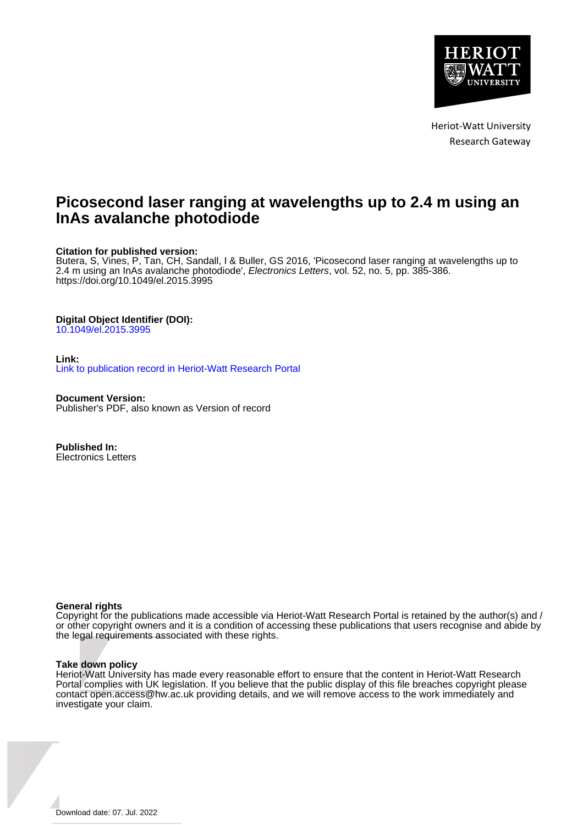

Heriot-Watt University Research Gateway

# **Picosecond laser ranging at wavelengths up to 2.4 m using an InAs avalanche photodiode**

# **Citation for published version:**

Butera, S, Vines, P, Tan, CH, Sandall, I & Buller, GS 2016, 'Picosecond laser ranging at wavelengths up to 2.4 m using an InAs avalanche photodiode', Electronics Letters, vol. 52, no. 5, pp. 385-386. <https://doi.org/10.1049/el.2015.3995>

# **Digital Object Identifier (DOI):**

[10.1049/el.2015.3995](https://doi.org/10.1049/el.2015.3995)

# **Link:**

[Link to publication record in Heriot-Watt Research Portal](https://researchportal.hw.ac.uk/en/publications/d8ed8198-01fa-4a6a-9686-4ef5ea40ef86)

**Document Version:** Publisher's PDF, also known as Version of record

**Published In:** Electronics Letters

## **General rights**

Copyright for the publications made accessible via Heriot-Watt Research Portal is retained by the author(s) and / or other copyright owners and it is a condition of accessing these publications that users recognise and abide by the legal requirements associated with these rights.

## **Take down policy**

Heriot-Watt University has made every reasonable effort to ensure that the content in Heriot-Watt Research Portal complies with UK legislation. If you believe that the public display of this file breaches copyright please contact open.access@hw.ac.uk providing details, and we will remove access to the work immediately and investigate your claim.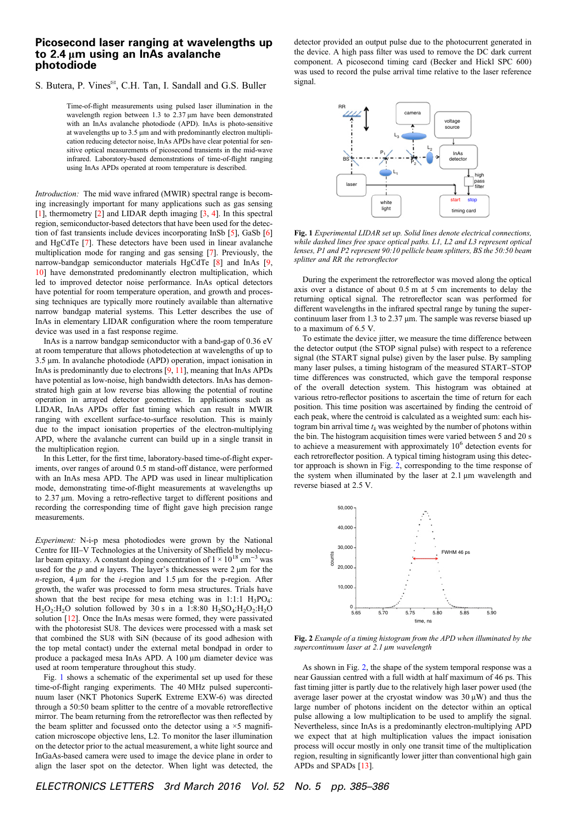# Picosecond laser ranging at wavelengths up to 2.4 μm using an InAs avalanche photodiode

#### S. Butera, P. Vines<sup>⊠</sup>, C.H. Tan, I. Sandall and G.S. Buller

Time-of-flight measurements using pulsed laser illumination in the wavelength region between 1.3 to 2.37 μm have been demonstrated with an InAs avalanche photodiode (APD). InAs is photo-sensitive at wavelengths up to 3.5 μm and with predominantly electron multiplication reducing detector noise, InAs APDs have clear potential for sensitive optical measurements of picosecond transients in the mid-wave infrared. Laboratory-based demonstrations of time-of-flight ranging using InAs APDs operated at room temperature is described.

Introduction: The mid wave infrared (MWIR) spectral range is becoming increasingly important for many applications such as gas sensing [[1\]](#page-2-0), thermometry [\[2\]](#page-2-0) and LIDAR depth imaging  $[3, 4]$  $[3, 4]$  $[3, 4]$  $[3, 4]$  $[3, 4]$ . In this spectral region, semiconductor-based detectors that have been used for the detection of fast transients include devices incorporating InSb [\[5](#page-2-0)], GaSb [\[6](#page-2-0)] and HgCdTe [\[7\]](#page-2-0). These detectors have been used in linear avalanche multiplication mode for ranging and gas sensing [[7\]](#page-2-0). Previously, the narrow-bandgap semiconductor materials HgCdTe [\[8\]](#page-2-0) and InAs [[9,](#page-2-0) [10\]](#page-2-0) have demonstrated predominantly electron multiplication, which led to improved detector noise performance. InAs optical detectors have potential for room temperature operation, and growth and processing techniques are typically more routinely available than alternative narrow bandgap material systems. This Letter describes the use of InAs in elementary LIDAR configuration where the room temperature device was used in a fast response regime.

InAs is a narrow bandgap semiconductor with a band-gap of 0.36 eV at room temperature that allows photodetection at wavelengths of up to 3.5 μm. In avalanche photodiode (APD) operation, impact ionisation in InAs is predominantly due to electrons [\[9,](#page-2-0) [11](#page-2-0)], meaning that InAs APDs have potential as low-noise, high bandwidth detectors. InAs has demonstrated high gain at low reverse bias allowing the potential of routine operation in arrayed detector geometries. In applications such as LIDAR, InAs APDs offer fast timing which can result in MWIR ranging with excellent surface-to-surface resolution. This is mainly due to the impact ionisation properties of the electron-multiplying APD, where the avalanche current can build up in a single transit in the multiplication region.

In this Letter, for the first time, laboratory-based time-of-flight experiments, over ranges of around 0.5 m stand-off distance, were performed with an InAs mesa APD. The APD was used in linear multiplication mode, demonstrating time-of-flight measurements at wavelengths up to 2.37 μm. Moving a retro-reflective target to different positions and recording the corresponding time of flight gave high precision range measurements.

Experiment: N-i-p mesa photodiodes were grown by the National Centre for III–V Technologies at the University of Sheffield by molecular beam epitaxy. A constant doping concentration of  $1 \times 10^{18}$  cm<sup>-3</sup> was used for the  $p$  and  $n$  layers. The layer's thicknesses were  $2 \mu m$  for the  $n$ -region, 4 μm for the *i*-region and 1.5 μm for the p-region. After growth, the wafer was processed to form mesa structures. Trials have shown that the best recipe for mesa etching was in 1:1:1  $H_3PO_4$ :  $H<sub>2</sub>O<sub>2</sub>:H<sub>2</sub>O$  solution followed by 30 s in a 1:8:80  $H<sub>2</sub>SO<sub>4</sub>:H<sub>2</sub>O<sub>2</sub>:H<sub>2</sub>O$ solution [\[12\]](#page-2-0). Once the InAs mesas were formed, they were passivated with the photoresist SU8. The devices were processed with a mask set that combined the SU8 with SiN (because of its good adhesion with the top metal contact) under the external metal bondpad in order to produce a packaged mesa InAs APD. A 100 μm diameter device was used at room temperature throughout this study.

Fig. 1 shows a schematic of the experimental set up used for these time-of-flight ranging experiments. The 40 MHz pulsed supercontinuum laser (NKT Photonics SuperK Extreme EXW-6) was directed through a 50:50 beam splitter to the centre of a movable retroreflective mirror. The beam returning from the retroreflector was then reflected by the beam splitter and focussed onto the detector using a  $\times$ 5 magnification microscope objective lens, L2. To monitor the laser illumination on the detector prior to the actual measurement, a white light source and InGaAs-based camera were used to image the device plane in order to align the laser spot on the detector. When light was detected, the detector provided an output pulse due to the photocurrent generated in the device. A high pass filter was used to remove the DC dark current component. A picosecond timing card (Becker and Hickl SPC 600) was used to record the pulse arrival time relative to the laser reference signal.



Fig. 1 Experimental LIDAR set up. Solid lines denote electrical connections, while dashed lines free space optical paths. L1, L2 and L3 represent optical lenses, P1 and P2 represent 90:10 pellicle beam splitters, BS the 50:50 beam splitter and RR the retroreflector

During the experiment the retroreflector was moved along the optical axis over a distance of about 0.5 m at 5 cm increments to delay the returning optical signal. The retroreflector scan was performed for different wavelengths in the infrared spectral range by tuning the supercontinuum laser from 1.3 to 2.37 μm. The sample was reverse biased up to a maximum of 6.5 V.

To estimate the device jitter, we measure the time difference between the detector output (the STOP signal pulse) with respect to a reference signal (the START signal pulse) given by the laser pulse. By sampling many laser pulses, a timing histogram of the measured START–STOP time differences was constructed, which gave the temporal response of the overall detection system. This histogram was obtained at various retro-reflector positions to ascertain the time of return for each position. This time position was ascertained by finding the centroid of each peak, where the centroid is calculated as a weighted sum: each histogram bin arrival time  $t_k$  was weighted by the number of photons within the bin. The histogram acquisition times were varied between 5 and 20 s to achieve a measurement with approximately  $10<sup>6</sup>$  detection events for each retroreflector position. A typical timing histogram using this detector approach is shown in Fig. 2, corresponding to the time response of the system when illuminated by the laser at 2.1 μm wavelength and reverse biased at 2.5 V.



Fig. 2 Example of a timing histogram from the APD when illuminated by the supercontinuum laser at 2.1 μm wavelength

As shown in Fig. 2, the shape of the system temporal response was a near Gaussian centred with a full width at half maximum of 46 ps. This fast timing jitter is partly due to the relatively high laser power used (the average laser power at the cryostat window was  $30 \mu W$ ) and thus the large number of photons incident on the detector within an optical pulse allowing a low multiplication to be used to amplify the signal. Nevertheless, since InAs is a predominantly electron-multiplying APD we expect that at high multiplication values the impact ionisation process will occur mostly in only one transit time of the multiplication region, resulting in significantly lower jitter than conventional high gain APDs and SPADs [[13](#page-2-0)].